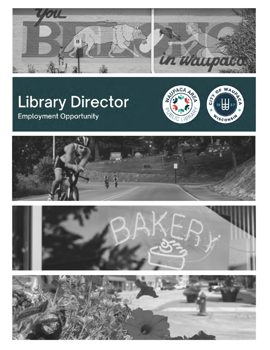



# **Library Director Employment Opportunity**







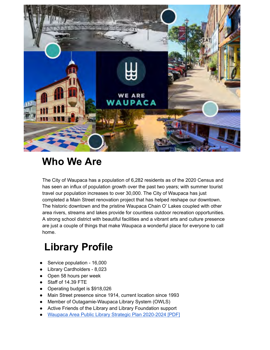

#### **Who We Are**

 The City of Waupaca has a population of 6,282 residents as of the 2020 Census and has seen an influx of population growth over the past two years; with summer tourist travel our population increases to over 30,000. The City of Waupaca has just completed a Main Street renovation project that has helped reshape our downtown. The historic downtown and the pristine Waupaca Chain O' Lakes coupled with other area rivers, streams and lakes provide for countless outdoor recreation opportunities. A strong school district with beautiful facilities and a vibrant arts and culture presence are just a couple of things that make Waupaca a wonderful place for everyone to call home.

## **Library Profile**

- Service population 16,000
- Library Cardholders 8,023
- Open 58 hours per week
- Staff of 14.39 FTE
- Operating budget is \$918,026
- Main Street presence since 1914, current location since 1993
- Member of Outagamie-Waupaca Library System (OWLS)
- Active Friends of the Library and Library Foundation support
- Waupaca Area Public Library Strategic Plan 2020-2024 [PDF]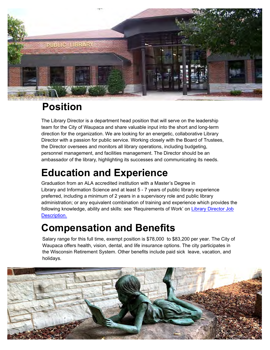

### **Position**

The Library Director is a department head position that will serve on the leadership team for the City of Waupaca and share valuable input into the short and long-term direction for the organization. We are looking for an energetic, collaborative Library Director with a passion for public service. Working closely with the Board of Trustees, the Director oversees and monitors all library operations, including budgeting, personnel management, and facilities management. The Director should be an ambassador of the library, highlighting its successes and communicating its needs.

## **Education and Experience**

Graduation from an ALA accredited institution with a Master's Degree in Library and Information Science and at least 5 - 7 years of public library experience preferred, including a minimum of 2 years in a supervisory role and public library administration; or any equivalent combination of training and experience which provides the following knowledge, ability and skills: see 'Requirements of Work' on [Library Director Job](chrome-extension://efaidnbmnnnibpcajpcglclefindmkaj/viewer.html?pdfurl=https%3A%2F%2Fwaupacalibrary.org%2Fsites%2Fwaupacalibrary.org%2Ffiles%2FLibrary%2520Director%2520job%2520description.pdf&clen=239961&chunk=true)  [Description.](chrome-extension://efaidnbmnnnibpcajpcglclefindmkaj/viewer.html?pdfurl=https%3A%2F%2Fwaupacalibrary.org%2Fsites%2Fwaupacalibrary.org%2Ffiles%2FLibrary%2520Director%2520job%2520description.pdf&clen=239961&chunk=true)

### **Compensation and Benefits**

Salary range for this full time, exempt position is \$78,000 to \$83,200 per year. The City of Waupaca offers health, vision, dental, and life insurance options. The city participates in the Wisconsin Retirement System. Other benefits include paid sick leave, vacation, and holidays.